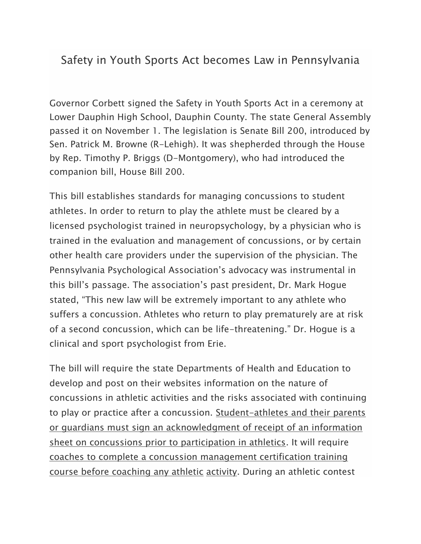# Safety in Youth Sports Act becomes Law in Pennsylvania

Governor Corbett signed the Safety in Youth Sports Act in a ceremony at Lower Dauphin High School, Dauphin County. The state General Assembly passed it on November 1. The legislation is Senate Bill 200, introduced by Sen. Patrick M. Browne (R-Lehigh). It was shepherded through the House by Rep. Timothy P. Briggs (D-Montgomery), who had introduced the companion bill, House Bill 200.

This bill establishes standards for managing concussions to student athletes. In order to return to play the athlete must be cleared by a licensed psychologist trained in neuropsychology, by a physician who is trained in the evaluation and management of concussions, or by certain other health care providers under the supervision of the physician. The Pennsylvania Psychological Association's advocacy was instrumental in this bill's passage. The association's past president, Dr. Mark Hogue stated, "This new law will be extremely important to any athlete who suffers a concussion. Athletes who return to play prematurely are at risk of a second concussion, which can be life-threatening." Dr. Hogue is a clinical and sport psychologist from Erie.

The bill will require the state Departments of Health and Education to develop and post on their websites information on the nature of concussions in athletic activities and the risks associated with continuing to play or practice after a concussion. Student-athletes and their parents or guardians must sign an acknowledgment of receipt of an information sheet on concussions prior to participation in athletics. It will require coaches to complete a concussion management certification training course before coaching any athletic activity. During an athletic contest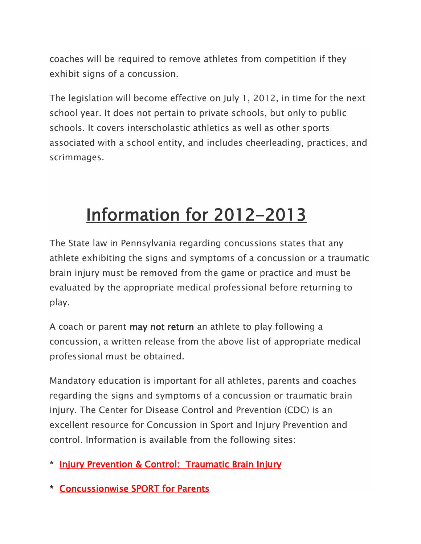coaches will be required to remove athletes from competition if they exhibit signs of a concussion.

The legislation will become effective on July 1, 2012, in time for the next school year. It does not pertain to private schools, but only to public schools. It covers interscholastic athletics as well as other sports associated with a school entity, and includes cheerleading, practices, and scrimmages.

# Information for 2012-2013

The State law in Pennsylvania regarding concussions states that any athlete exhibiting the signs and symptoms of a concussion or a traumatic brain injury must be removed from the game or practice and must be evaluated by the appropriate medical professional before returning to play.

A coach or parent may not return an athlete to play following a concussion, a written release from the above list of appropriate medical professional must be obtained.

Mandatory education is important for all athletes, parents and coaches regarding the signs and symptoms of a concussion or traumatic brain injury. The Center for Disease Control and Prevention (CDC) is an excellent resource for Concussion in Sport and Injury Prevention and control. Information is available from the following sites:

\* [Injury Prevention & Control: Traumatic Brain Injury](http://www.cdc.gov/concussion/sports/index.html)

\* [Concussionwise SPORT for Parents](http://concussionwise.com/pennsylvania)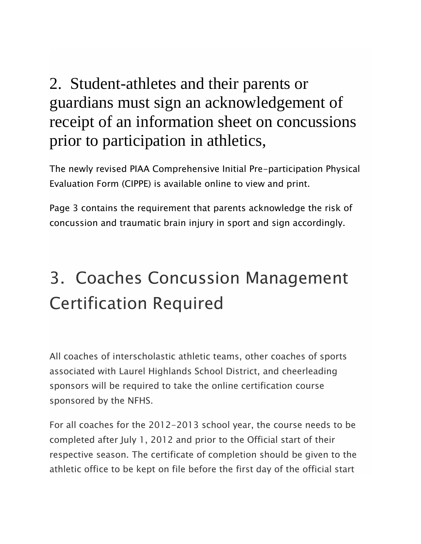# 2. Student-athletes and their parents or guardians must sign an acknowledgement of receipt of an information sheet on concussions prior to participation in athletics,

The newly revised PIAA Comprehensive Initial Pre-participation Physical Evaluation Form (CIPPE) is available online to view and print.

Page 3 contains the requirement that parents acknowledge the risk of concussion and traumatic brain injury in sport and sign accordingly.

# 3. Coaches Concussion Management Certification Required

All coaches of interscholastic athletic teams, other coaches of sports associated with Laurel Highlands School District, and cheerleading sponsors will be required to take the online certification course sponsored by the NFHS.

For all coaches for the 2012-2013 school year, the course needs to be completed after July 1, 2012 and prior to the Official start of their respective season. The certificate of completion should be given to the athletic office to be kept on file before the first day of the official start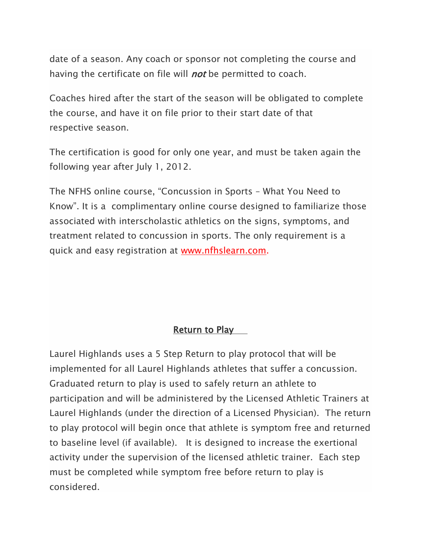date of a season. Any coach or sponsor not completing the course and having the certificate on file will *not* be permitted to coach.

Coaches hired after the start of the season will be obligated to complete the course, and have it on file prior to their start date of that respective season.

The certification is good for only one year, and must be taken again the following year after July 1, 2012.

The NFHS online course, "Concussion in Sports – What You Need to Know". It is a complimentary online course designed to familiarize those associated with interscholastic athletics on the signs, symptoms, and treatment related to concussion in sports. The only requirement is a quick and easy registration at [www.nfhslearn.com.](http://www.nfhslearn.com/)

#### Return to Play

Laurel Highlands uses a 5 Step Return to play protocol that will be implemented for all Laurel Highlands athletes that suffer a concussion. Graduated return to play is used to safely return an athlete to participation and will be administered by the Licensed Athletic Trainers at Laurel Highlands (under the direction of a Licensed Physician). The return to play protocol will begin once that athlete is symptom free and returned to baseline level (if available). It is designed to increase the exertional activity under the supervision of the licensed athletic trainer. Each step must be completed while symptom free before return to play is considered.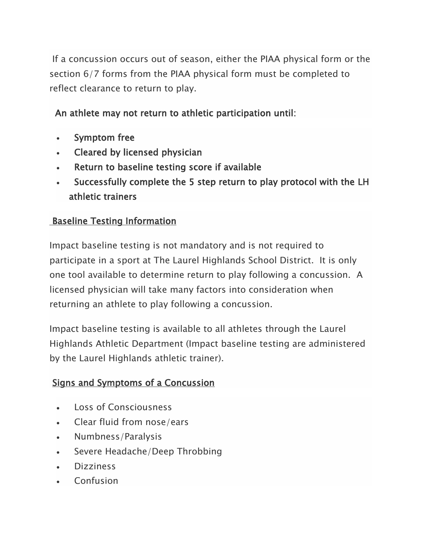If a concussion occurs out of season, either the PIAA physical form or the section 6/7 forms from the PIAA physical form must be completed to reflect clearance to return to play.

### An athlete may not return to athletic participation until:

- Symptom free
- Cleared by licensed physician
- Return to baseline testing score if available
- Successfully complete the 5 step return to play protocol with the LH athletic trainers

### Baseline Testing Information

Impact baseline testing is not mandatory and is not required to participate in a sport at The Laurel Highlands School District. It is only one tool available to determine return to play following a concussion. A licensed physician will take many factors into consideration when returning an athlete to play following a concussion.

Impact baseline testing is available to all athletes through the Laurel Highlands Athletic Department (Impact baseline testing are administered by the Laurel Highlands athletic trainer).

## Signs and Symptoms of a Concussion

- Loss of Consciousness
- Clear fluid from nose/ears
- Numbness/Paralysis
- Severe Headache/Deep Throbbing
- **Dizziness**
- Confusion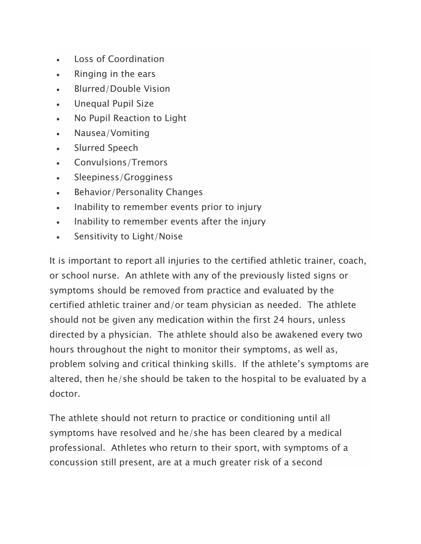- Loss of Coordination
- Ringing in the ears
- Blurred/Double Vision
- Unequal Pupil Size
- No Pupil Reaction to Light
- Nausea/Vomiting
- Slurred Speech
- Convulsions/Tremors
- Sleepiness/Grogginess
- Behavior/Personality Changes
- Inability to remember events prior to injury
- Inability to remember events after the injury
- Sensitivity to Light/Noise

It is important to report all injuries to the certified athletic trainer, coach, or school nurse. An athlete with any of the previously listed signs or symptoms should be removed from practice and evaluated by the certified athletic trainer and/or team physician as needed. The athlete should not be given any medication within the first 24 hours, unless directed by a physician. The athlete should also be awakened every two hours throughout the night to monitor their symptoms, as well as, problem solving and critical thinking skills. If the athlete's symptoms are altered, then he/she should be taken to the hospital to be evaluated by a doctor.

The athlete should not return to practice or conditioning until all symptoms have resolved and he/she has been cleared by a medical professional. Athletes who return to their sport, with symptoms of a concussion still present, are at a much greater risk of a second